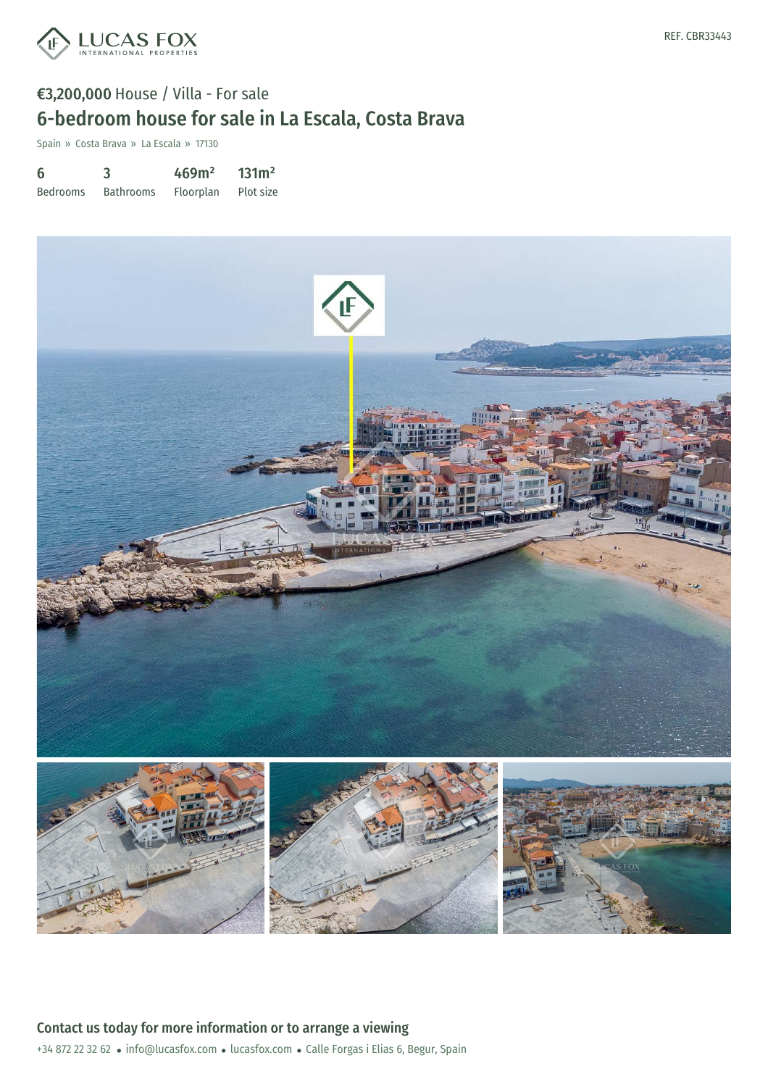

# €3,200,000 House / Villa - For sale 6-bedroom house for sale in La Escala, Costa Brava

Spain » Costa Brava » La Escala » 17130

6 Bedrooms 3 Bathrooms 469m² Floorplan 131m² Plot size



+34 872 22 32 62 · info@lucasfox.com · lucasfox.com · Calle Forgas i Elias 6, Begur, Spain Contact us today for more information or to arrange a viewing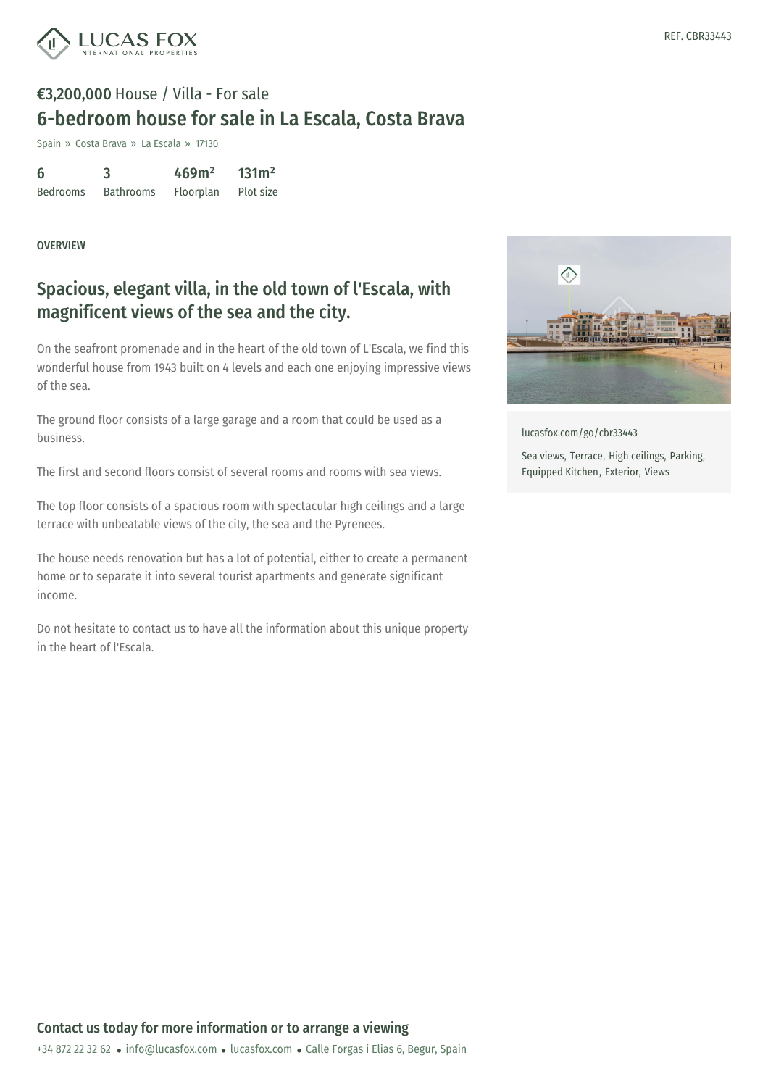

# €3,200,000 House / Villa - For sale 6-bedroom house for sale in La Escala, Costa Brava

Spain » Costa Brava » La Escala » 17130

| 6               | 3                | 469m <sup>2</sup> | 131m <sup>2</sup> |
|-----------------|------------------|-------------------|-------------------|
| <b>Bedrooms</b> | <b>Bathrooms</b> | Floorplan         | Plot size         |

#### **OVERVIEW**

### Spacious, elegant villa, in the old town of l'Escala, with magnificent views of the sea and the city.

On the seafront promenade and in the heart of the old town of L'Escala, we find this wonderful house from 1943 built on 4 levels and each one enjoying impressive views of the sea.

The ground floor consists of a large garage and a room that could be used as a business.

The first and second floors consist of several rooms and rooms with sea views.

The top floor consists of a spacious room with spectacular high ceilings and a large terrace with unbeatable views of the city, the sea and the Pyrenees.

The house needs renovation but has a lot of potential, either to create a permanent home or to separate it into several tourist apartments and generate significant income.

Do not hesitate to contact us to have all the information about this unique property in the heart of l'Escala.



[lucasfox.com/go/cbr33443](https://www.lucasfox.com/go/cbr33443)

Sea views, Terrace, High ceilings, Parking, Equipped Kitchen, Exterior, Views